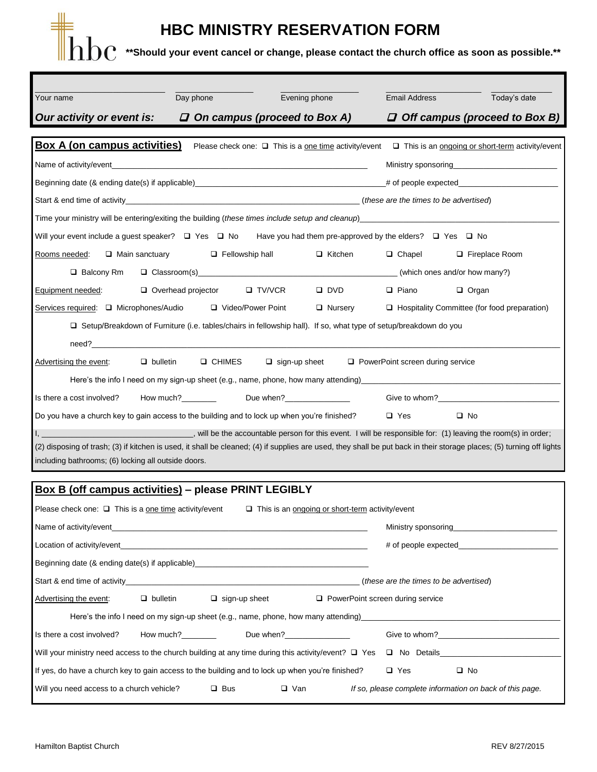## **HBC MINISTRY RESERVATION FORM**

 $\rm 1pc$   $\rm ^*$ Should your event cancel or change, please contact the church office as soon as possible.\*\*

| Your name                                                                                                                                                                                                                                                                 | Day phone                                    | Evening phone                                                                                                            |                | <b>Email Address</b>                    | Today's date                                           |  |
|---------------------------------------------------------------------------------------------------------------------------------------------------------------------------------------------------------------------------------------------------------------------------|----------------------------------------------|--------------------------------------------------------------------------------------------------------------------------|----------------|-----------------------------------------|--------------------------------------------------------|--|
| Our activity or event is: $\Box$ On campus (proceed to Box A)                                                                                                                                                                                                             |                                              |                                                                                                                          |                |                                         | $\Box$ Off campus (proceed to Box B)                   |  |
| <b>Box A (on campus activities)</b>                                                                                                                                                                                                                                       |                                              | Please check one: $\Box$ This is a one time activity/event                                                               |                |                                         | $\Box$ This is an ongoing or short-term activity/event |  |
| Name of activity/event example and the contract of the contract of the contract of the contract of the contract of the contract of the contract of the contract of the contract of the contract of the contract of the contrac<br>Ministry sponsoring <b>Example 2018</b> |                                              |                                                                                                                          |                |                                         |                                                        |  |
|                                                                                                                                                                                                                                                                           |                                              | Beginning date (& ending date(s) if applicable) experience and the state of people expected the state of people expected |                |                                         |                                                        |  |
|                                                                                                                                                                                                                                                                           |                                              |                                                                                                                          |                |                                         |                                                        |  |
| Time your ministry will be entering/exiting the building (these times include setup and cleanup)                                                                                                                                                                          |                                              |                                                                                                                          |                |                                         |                                                        |  |
| Will your event include a guest speaker? $\Box$ Yes $\Box$ No Have you had them pre-approved by the elders? $\Box$ Yes $\Box$ No                                                                                                                                          |                                              |                                                                                                                          |                |                                         |                                                        |  |
| Rooms needed:                                                                                                                                                                                                                                                             | $\Box$ Main sanctuary $\Box$ Fellowship hall |                                                                                                                          | □ Kitchen      | $\Box$ Chapel                           | □ Fireplace Room                                       |  |
| $\Box$ Balcony Rm                                                                                                                                                                                                                                                         |                                              |                                                                                                                          |                |                                         |                                                        |  |
| Equipment needed:                                                                                                                                                                                                                                                         | $\Box$ Overhead projector                    | $\Box$ TV/VCR                                                                                                            | $\Box$ DVD     | $\Box$ Piano                            | $\Box$ Organ                                           |  |
| Services required: □ Microphones/Audio □ Video/Power Point                                                                                                                                                                                                                |                                              |                                                                                                                          | $\Box$ Nursery |                                         | $\Box$ Hospitality Committee (for food preparation)    |  |
| □ Setup/Breakdown of Furniture (i.e. tables/chairs in fellowship hall). If so, what type of setup/breakdown do you                                                                                                                                                        |                                              |                                                                                                                          |                |                                         |                                                        |  |
| need? The contract of the contract of the contract of the contract of the contract of the contract of the contract of the contract of the contract of the contract of the contract of the contract of the contract of the cont                                            |                                              |                                                                                                                          |                |                                         |                                                        |  |
| $\Box$ bulletin<br>Advertising the event:                                                                                                                                                                                                                                 | <b>Q</b> CHIMES                              | $\Box$ sign-up sheet                                                                                                     |                | $\Box$ PowerPoint screen during service |                                                        |  |
| Here's the info I need on my sign-up sheet (e.g., name, phone, how many attending)                                                                                                                                                                                        |                                              |                                                                                                                          |                |                                         |                                                        |  |
|                                                                                                                                                                                                                                                                           |                                              |                                                                                                                          |                |                                         | Give to whom?<br><u>Give</u> to whom?                  |  |
| Do you have a church key to gain access to the building and to lock up when you're finished?                                                                                                                                                                              |                                              |                                                                                                                          |                | $\Box$ Yes                              | $\Box$ No                                              |  |
| will be the accountable person for this event. I will be responsible for: (1) leaving the room(s) in order;                                                                                                                                                               |                                              |                                                                                                                          |                |                                         |                                                        |  |
| (2) disposing of trash; (3) if kitchen is used, it shall be cleaned; (4) if supplies are used, they shall be put back in their storage places; (5) turning off lights<br>including bathrooms; (6) locking all outside doors.                                              |                                              |                                                                                                                          |                |                                         |                                                        |  |

| <b>Box B (off campus activities) - please PRINT LEGIBLY</b>                                                                      |  |            |  |  |                                                          |  |  |
|----------------------------------------------------------------------------------------------------------------------------------|--|------------|--|--|----------------------------------------------------------|--|--|
| Please check one: $\Box$ This is a <u>one time</u> activity/event $\Box$ This is an <u>ongoing or short-term</u> activity/event  |  |            |  |  |                                                          |  |  |
|                                                                                                                                  |  |            |  |  |                                                          |  |  |
| # of people expected                                                                                                             |  |            |  |  |                                                          |  |  |
| Beginning date (& ending date(s) if applicable)_________________________________                                                 |  |            |  |  |                                                          |  |  |
|                                                                                                                                  |  |            |  |  |                                                          |  |  |
| $\Delta$ dvertising the event: $\square$ bulletin $\square$ sign-up sheet $\square$ PowerPoint screen during service             |  |            |  |  |                                                          |  |  |
|                                                                                                                                  |  |            |  |  |                                                          |  |  |
| Is there a cost involved? How much? Due when?                                                                                    |  |            |  |  | Give to whom?                                            |  |  |
| Will your ministry need access to the church building at any time during this activity/event? $\square$ Yes $\square$ No Details |  |            |  |  |                                                          |  |  |
| If yes, do have a church key to gain access to the building and to lock up when you're finished?<br>$\Box$ Yes<br>$\square$ No   |  |            |  |  |                                                          |  |  |
| Will you need access to a church vehicle? $\Box$ Bus                                                                             |  | $\Box$ Van |  |  | If so, please complete information on back of this page. |  |  |